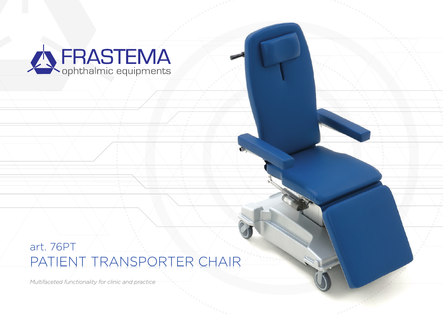

## art. 76PT PATIENT TRANSPORTER CHAIR

*Multifaceted functionality for clinic and practice*